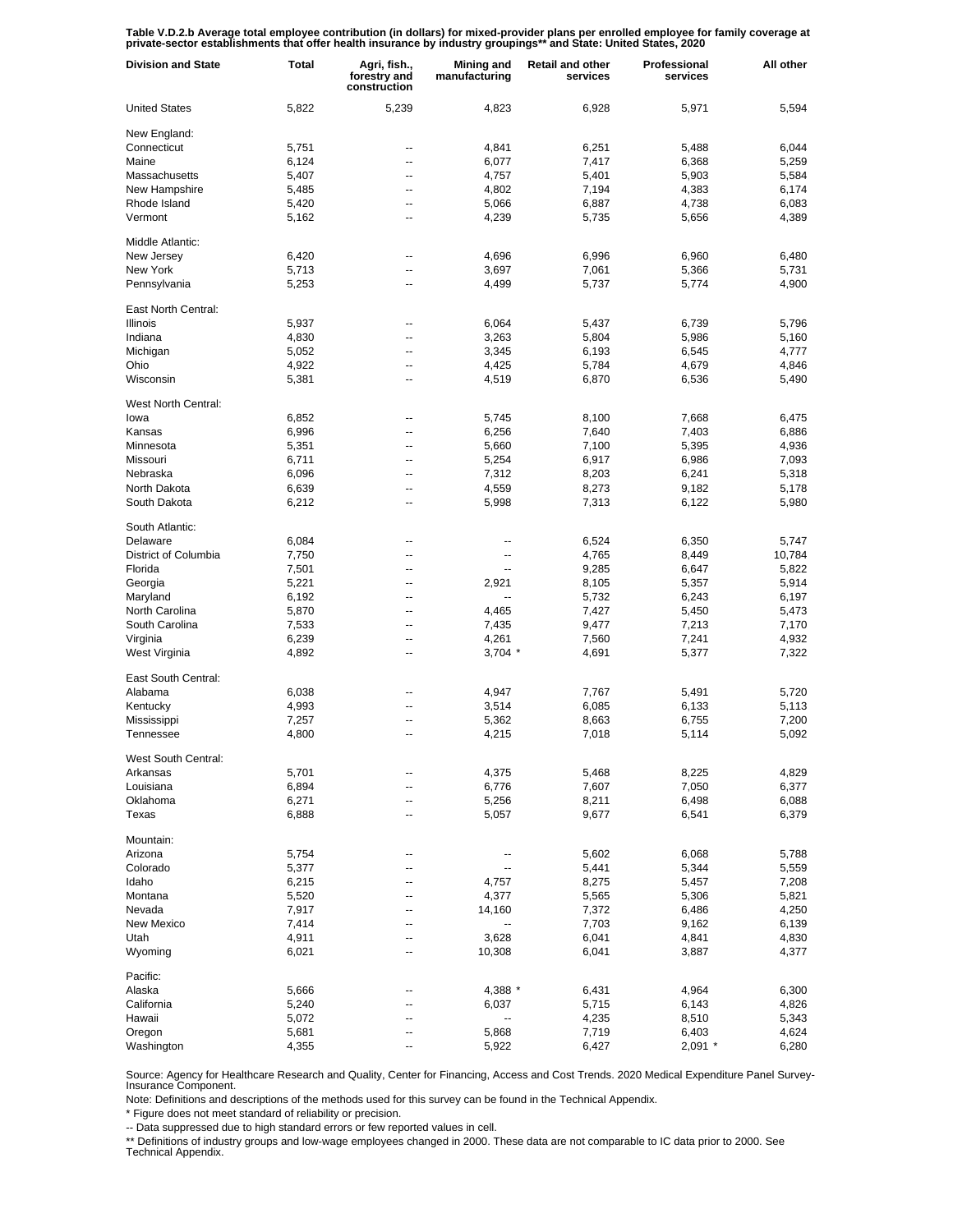Table V.D.2.b Average total employee contribution (in dollars) for mixed-provider plans per enrolled employee for family coverage at<br>private-sector establishments that offer health insurance by industry groupings\*\* and Sta

| <b>Division and State</b> | <b>Total</b>   | Agri, fish.,<br>forestry and<br>construction | <b>Mining and</b><br>manufacturing | <b>Retail and other</b><br>services | Professional<br>services | All other      |
|---------------------------|----------------|----------------------------------------------|------------------------------------|-------------------------------------|--------------------------|----------------|
| <b>United States</b>      | 5,822          | 5,239                                        | 4,823                              | 6,928                               | 5,971                    | 5,594          |
| New England:              |                |                                              |                                    |                                     |                          |                |
| Connecticut               | 5,751          | --                                           | 4,841                              | 6,251                               | 5,488                    | 6,044          |
| Maine                     | 6,124          | --                                           | 6,077                              | 7,417                               | 6,368                    | 5,259          |
| Massachusetts             | 5,407          | --                                           | 4,757                              | 5,401                               | 5,903                    | 5,584          |
| New Hampshire             | 5,485          | --                                           | 4,802                              | 7,194                               | 4,383                    | 6,174          |
| Rhode Island              | 5,420          | --                                           | 5,066                              | 6,887                               | 4,738                    | 6,083          |
| Vermont                   | 5,162          | --                                           | 4,239                              | 5,735                               | 5,656                    | 4,389          |
| Middle Atlantic:          |                |                                              |                                    |                                     |                          |                |
| New Jersey                | 6,420          | --                                           | 4,696                              | 6,996                               | 6,960                    | 6,480          |
| New York                  | 5,713          | --                                           | 3,697                              | 7,061                               | 5,366                    | 5,731          |
| Pennsylvania              | 5,253          | ٠.                                           | 4,499                              | 5,737                               | 5,774                    | 4,900          |
| East North Central:       |                |                                              |                                    |                                     |                          |                |
| Illinois                  | 5,937          | --                                           | 6,064                              | 5,437                               | 6,739                    | 5,796          |
| Indiana                   | 4,830          | --                                           | 3,263                              | 5,804                               | 5,986                    | 5,160          |
| Michigan                  | 5,052          | --                                           | 3,345                              | 6,193                               | 6,545                    | 4,777          |
| Ohio                      | 4,922          | --                                           | 4,425                              | 5,784                               | 4,679                    | 4,846          |
| Wisconsin                 | 5,381          | --                                           | 4,519                              | 6,870                               | 6,536                    | 5,490          |
| West North Central:       |                |                                              |                                    |                                     |                          |                |
| lowa                      | 6,852          | --                                           | 5,745                              | 8,100                               | 7,668                    | 6,475          |
| Kansas                    | 6,996          | --                                           | 6,256                              | 7,640                               | 7,403                    | 6,886          |
| Minnesota                 | 5,351          | --                                           | 5,660                              | 7,100                               | 5,395                    | 4,936          |
| Missouri                  | 6,711          | --                                           | 5,254                              | 6,917                               | 6,986                    | 7,093          |
| Nebraska                  | 6,096          | --                                           | 7,312                              | 8,203                               | 6,241                    | 5,318          |
| North Dakota              | 6,639          | --                                           | 4,559                              | 8,273                               | 9,182                    | 5,178          |
| South Dakota              | 6,212          | --                                           | 5,998                              | 7,313                               | 6,122                    | 5,980          |
| South Atlantic:           |                |                                              |                                    |                                     |                          |                |
| Delaware                  | 6,084          | ٠.                                           | --                                 | 6,524                               | 6,350                    | 5,747          |
| District of Columbia      | 7,750          | --                                           | --                                 | 4,765                               | 8,449                    | 10,784         |
| Florida                   | 7,501          | --                                           | --                                 | 9,285                               | 6,647                    | 5,822          |
| Georgia                   | 5,221          | --                                           | 2,921                              | 8,105                               | 5,357                    | 5,914          |
| Maryland                  | 6,192          | --                                           | --                                 | 5,732                               | 6,243                    | 6,197          |
| North Carolina            | 5,870          | --                                           | 4,465                              | 7,427                               | 5,450                    | 5,473          |
| South Carolina            | 7,533          | --                                           | 7,435                              | 9,477                               | 7,213                    | 7,170          |
| Virginia                  | 6,239          | --                                           | 4,261                              | 7,560                               | 7,241                    | 4,932          |
| West Virginia             | 4,892          | --                                           | $3,704$ *                          | 4,691                               | 5,377                    | 7,322          |
| East South Central:       |                |                                              |                                    |                                     |                          |                |
| Alabama                   | 6,038          |                                              | 4,947                              | 7,767                               | 5,491                    | 5,720          |
| Kentucky                  | 4,993          | ٠.                                           | 3,514                              | 6,085                               | 6,133                    | 5,113          |
| Mississippi               | 7,257          | --                                           | 5,362                              | 8,663                               | 6,755                    | 7,200          |
| Tennessee                 | 4,800          | --                                           | 4,215                              | 7,018                               | 5,114                    | 5,092          |
|                           |                |                                              |                                    |                                     |                          |                |
| West South Central:       | 5,701          |                                              |                                    |                                     | 8,225                    | 4,829          |
| Arkansas                  |                |                                              | 4,375                              | 5,468                               | 7,050                    |                |
| Louisiana                 | 6,894          | --                                           | 6,776                              | 7,607                               | 6,498                    | 6,377          |
| Oklahoma<br>Texas         | 6,271<br>6,888 | --<br>--                                     | 5,256<br>5,057                     | 8,211<br>9,677                      | 6,541                    | 6,088<br>6,379 |
|                           |                |                                              |                                    |                                     |                          |                |
| Mountain:                 |                |                                              |                                    |                                     |                          |                |
| Arizona                   | 5,754          | --                                           | --                                 | 5,602                               | 6,068                    | 5,788          |
| Colorado                  | 5,377          | ٠.                                           | --                                 | 5,441                               | 5,344                    | 5,559          |
| Idaho                     | 6,215          | ٠.                                           | 4,757                              | 8,275                               | 5,457                    | 7,208          |
| Montana                   | 5,520          | --                                           | 4,377                              | 5,565                               | 5,306                    | 5,821          |
| Nevada                    | 7,917          | --                                           | 14,160                             | 7,372                               | 6,486                    | 4,250          |
| New Mexico                | 7,414          | --                                           | --                                 | 7,703                               | 9,162                    | 6,139          |
| Utah                      | 4,911          | ٠.                                           | 3,628                              | 6,041                               | 4,841                    | 4,830          |
| Wyoming                   | 6,021          | ٠.                                           | 10,308                             | 6,041                               | 3,887                    | 4,377          |
| Pacific:                  |                |                                              |                                    |                                     |                          |                |
| Alaska                    | 5,666          |                                              | 4,388 *                            | 6,431                               | 4,964                    | 6,300          |
| California                | 5,240          |                                              | 6,037                              | 5,715                               | 6,143                    | 4,826          |
| Hawaii                    | 5,072          | --                                           | $\overline{\phantom{a}}$           | 4,235                               | 8,510                    | 5,343          |
| Oregon                    | 5,681          |                                              | 5,868                              | 7,719                               | 6,403                    | 4,624          |
| Washington                | 4,355          |                                              | 5,922                              | 6,427                               | $2,091$ *                | 6,280          |

Source: Agency for Healthcare Research and Quality, Center for Financing, Access and Cost Trends. 2020 Medical Expenditure Panel Survey-Insurance Component.

Note: Definitions and descriptions of the methods used for this survey can be found in the Technical Appendix.

\* Figure does not meet standard of reliability or precision.

-- Data suppressed due to high standard errors or few reported values in cell.

\*\* Definitions of industry groups and low-wage employees changed in 2000. These data are not comparable to IC data prior to 2000. See Technical Appendix.